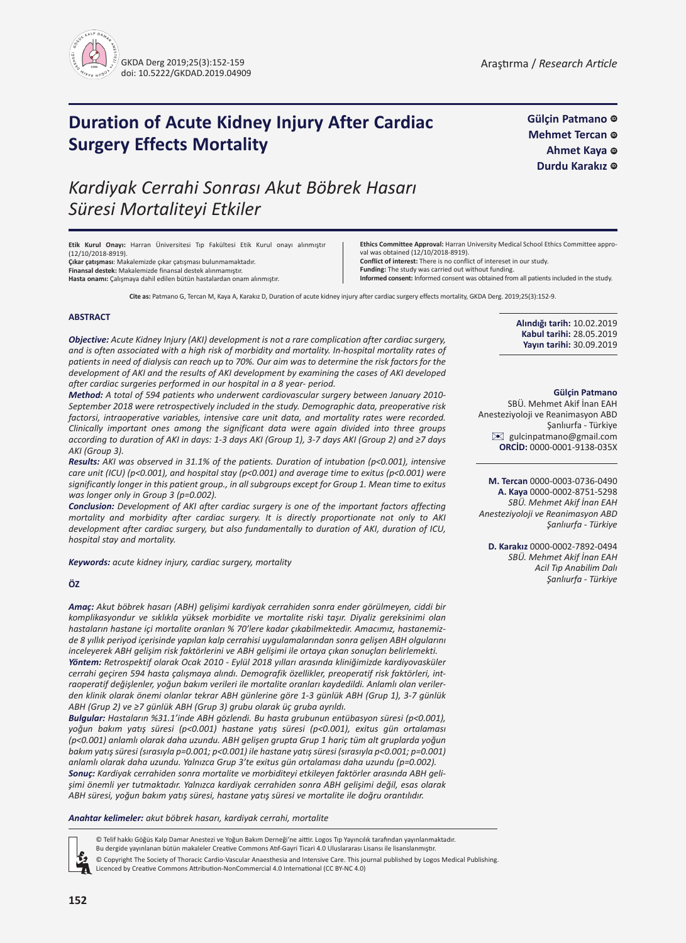

**Gülçin Patmano Mehmet Tercan** © **Ahmet Kaya** C Durdu Karakız <sup>®</sup>

## **[ID](http//orcid.org/0000-0001-9138-035X) Duration of Acute Kidney Injury After Cardiac Surgery Effects Mortality**

# *Kardiyak Cerrahi Sonrası Akut Böbrek Hasarı Süresi Mortaliteyi Etkiler*

**Etik Kurul Onayı:** Harran Üniversitesi Tıp Fakültesi Etik Kurul onayı alınmıştır (12/10/2018-8919).

**Çıkar çatışması**: Makalemizde çıkar çatışması bulunmamaktadır. **Finansal destek:** Makalemizde finansal destek alınmamıştır.

**Hasta onamı:** Çalışmaya dahil edilen bütün hastalardan onam alınmıştır.

**Ethics Committee Approval:** Harran University Medical School Ethics Committee approval was obtained (12/10/2018-8919).

**Conflict of interest:** There is no conflict of intereset in our study.

**Funding:** The study was carried out without funding.

**Informed consent:** Informed consent was obtained from all patients included in the study.

**Cite as:** Patmano G, Tercan M, Kaya A, Karakız D, Duration of acute kidney injury after cardiac surgery effects mortality, GKDA Derg. 2019;25(3):152-9.

#### **ABSTRACT**

*Objective: Acute Kidney Injury (AKI) development is not a rare complication after cardiac surgery, and is often associated with a high risk of morbidity and mortality. In-hospital mortality rates of patients in need of dialysis can reach up to 70%. Our aim was to determine the risk factors for the development of AKI and the results of AKI development by examining the cases of AKI developed after cardiac surgeries performed in our hospital in a 8 year- period.*

*Method: A total of 594 patients who underwent cardiovascular surgery between January 2010- September 2018 were retrospectively included in the study. Demographic data, preoperative risk factorsi, intraoperative variables, intensive care unit data, and mortality rates were recorded. Clinically important ones among the significant data were again divided into three groups according to duration of AKI in days: 1-3 days AKI (Group 1), 3-7 days AKI (Group 2) and ≥7 days AKI (Group 3).*

*Results: AKI was observed in 31.1% of the patients. Duration of intubation (p<0.001), intensive care unit (ICU) (p<0.001), and hospital stay (p<0.001) and average time to exitus (p<0.001) were significantly longer in this patient group., in all subgroups except for Group 1. Mean time to exitus was longer only in Group 3 (p=0.002).*

*Conclusion: Development of AKI after cardiac surgery is one of the important factors affecting mortality and morbidity after cardiac surgery. It is directly proportionate not only to AKI development after cardiac surgery, but also fundamentally to duration of AKI, duration of ICU, hospital stay and mortality.* 

*Keywords: acute kidney injury, cardiac surgery, mortality*

#### **ÖZ**

*Amaç: Akut böbrek hasarı (ABH) gelişimi kardiyak cerrahiden sonra ender görülmeyen, ciddi bir komplikasyondur ve sıklıkla yüksek morbidite ve mortalite riski taşır. Diyaliz gereksinimi olan hastaların hastane içi mortalite oranları % 70'lere kadar çıkabilmektedir. Amacımız, hastanemizde 8 yıllık periyod içerisinde yapılan kalp cerrahisi uygulamalarından sonra gelişen ABH olgularını inceleyerek ABH gelişim risk faktörlerini ve ABH gelişimi ile ortaya çıkan sonuçları belirlemekti. Yöntem: Retrospektif olarak Ocak 2010 - Eylül 2018 yılları arasında kliniğimizde kardiyovasküler* 

*cerrahi geçiren 594 hasta çalışmaya alındı. Demografik özellikler, preoperatif risk faktörleri, intraoperatif değişlenler, yoğun bakım verileri ile mortalite oranları kaydedildi. Anlamlı olan verilerden klinik olarak önemi olanlar tekrar ABH günlerine göre 1-3 günlük ABH (Grup 1), 3-7 günlük ABH (Grup 2) ve ≥7 günlük ABH (Grup 3) grubu olarak üç gruba ayrıldı.*

*Bulgular: Hastaların %31.1'inde ABH gözlendi. Bu hasta grubunun entübasyon süresi (p<0.001), yoğun bakım yatış süresi (p<0.001) hastane yatış süresi (p<0.001), exitus gün ortalaması (p<0.001) anlamlı olarak daha uzundu. ABH gelişen grupta Grup 1 hariç tüm alt gruplarda yoğun bakım yatış süresi (sırasıyla p=0.001; p<0.001) ile hastane yatış süresi (sırasıyla p<0.001; p=0.001) anlamlı olarak daha uzundu. Yalnızca Grup 3'te exitus gün ortalaması daha uzundu (p=0.002).*

*Sonuç: Kardiyak cerrahiden sonra mortalite ve morbiditeyi etkileyen faktörler arasında ABH gelişimi önemli yer tutmaktadır. Yalnızca kardiyak cerrahiden sonra ABH gelişimi değil, esas olarak ABH süresi, yoğun bakım yatış süresi, hastane yatış süresi ve mortalite ile doğru orantılıdır.*

*Anahtar kelimeler: akut böbrek hasarı, kardiyak cerrahi, mortalite*

© Telif hakkı Göğüs Kalp Damar Anestezi ve Yoğun Bakım Derneği'ne aittir. Logos Tıp Yayıncılık tarafından yayınlanmaktadır.

Bu dergide yayınlanan bütün makaleler Creative Commons Atıf-Gayri Ticari 4.0 Uluslararası Lisansı ile lisanslanmıştır.

© Copyright The Society of Thoracic Cardio-Vascular Anaesthesia and Intensive Care. This journal published by Logos Medical Publishing. Licenced by Creative Commons Attribution-NonCommercial 4.0 International (CC BY-NC 4.0)

**Alındığı tarih:** 10.02.2019 **Kabul tarihi:** 28.05.2019 **Yayın tarihi:** 30.09.2019

#### **Gülçin Patmano**

SBÜ. Mehmet Akif İnan EAH Anesteziyoloji ve Reanimasyon ABD Şanlıurfa - Türkiye [✉](mailto:gulcinpatmano@gmail.com) gulcinpatmano@gmail.com **ORCİD:** 0000-0001-9138-035X

**M. Tercan** 0000-0003-0736-0490 **A. Kaya** 0000-0002-8751-5298 *SBÜ. Mehmet Akif İnan EAH Anesteziyoloji ve Reanimasyon ABD Şanlıurfa - Türkiye*

**D. Karakız** 0000-0002-7892-0494 *SBÜ. Mehmet Akif İnan EAH Acil Tıp Anabilim Dalı Şanlıurfa - Türkiye*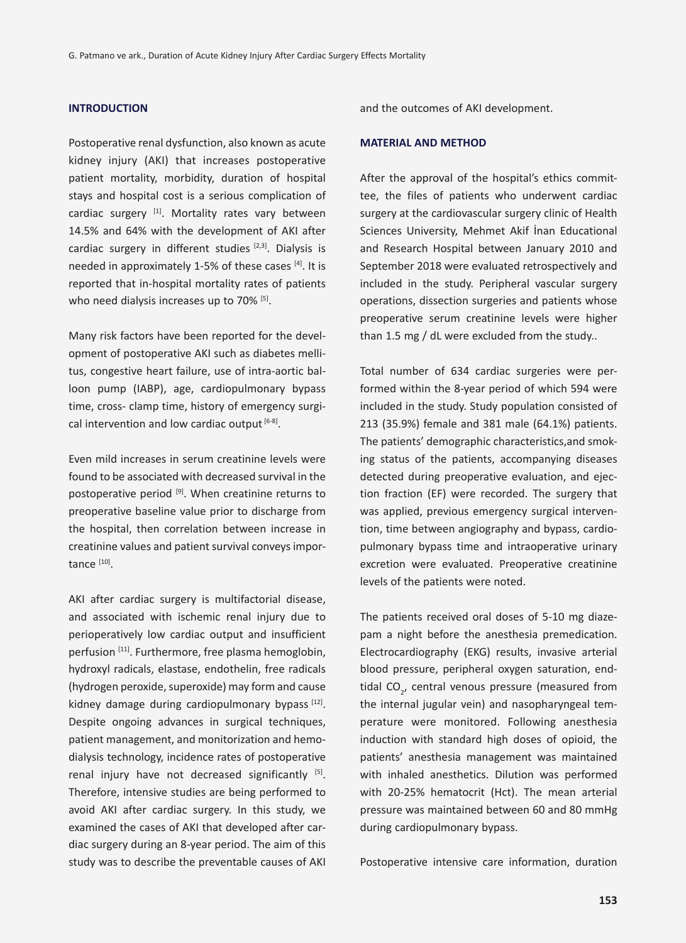## **INTRODUCTION**

Postoperative renal dysfunction, also known as acute kidney injury (AKI) that increases postoperative patient mortality, morbidity, duration of hospital stays and hospital cost is a serious complication of cardiac surgery [1]. Mortality rates vary between 14.5% and 64% with the development of AKI after cardiac surgery in different studies  $[2,3]$ . Dialysis is needed in approximately 1-5% of these cases [4]. It is reported that in-hospital mortality rates of patients who need dialysis increases up to 70% [5].

Many risk factors have been reported for the development of postoperative AKI such as diabetes mellitus, congestive heart failure, use of intra-aortic balloon pump (IABP), age, cardiopulmonary bypass time, cross- clamp time, history of emergency surgical intervention and low cardiac output  $[6-8]$ .

Even mild increases in serum creatinine levels were found to be associated with decreased survival in the postoperative period  $[9]$ . When creatinine returns to preoperative baseline value prior to discharge from the hospital, then correlation between increase in creatinine values and patient survival conveys importance [10].

AKI after cardiac surgery is multifactorial disease, and associated with ischemic renal injury due to perioperatively low cardiac output and insufficient perfusion [11]. Furthermore, free plasma hemoglobin, hydroxyl radicals, elastase, endothelin, free radicals (hydrogen peroxide, superoxide) may form and cause kidney damage during cardiopulmonary bypass  $[12]$ . Despite ongoing advances in surgical techniques, patient management, and monitorization and hemodialysis technology, incidence rates of postoperative renal injury have not decreased significantly [5]. Therefore, intensive studies are being performed to avoid AKI after cardiac surgery. In this study, we examined the cases of AKI that developed after cardiac surgery during an 8-year period. The aim of this study was to describe the preventable causes of AKI and the outcomes of AKI development.

#### **MATERIAL AND METHOD**

After the approval of the hospital's ethics committee, the files of patients who underwent cardiac surgery at the cardiovascular surgery clinic of Health Sciences University, Mehmet Akif İnan Educational and Research Hospital between January 2010 and September 2018 were evaluated retrospectively and included in the study. Peripheral vascular surgery operations, dissection surgeries and patients whose preoperative serum creatinine levels were higher than 1.5 mg / dL were excluded from the study..

Total number of 634 cardiac surgeries were performed within the 8-year period of which 594 were included in the study. Study population consisted of 213 (35.9%) female and 381 male (64.1%) patients. The patients' demographic characteristics,and smoking status of the patients, accompanying diseases detected during preoperative evaluation, and ejection fraction (EF) were recorded. The surgery that was applied, previous emergency surgical intervention, time between angiography and bypass, cardiopulmonary bypass time and intraoperative urinary excretion were evaluated. Preoperative creatinine levels of the patients were noted.

The patients received oral doses of 5-10 mg diazepam a night before the anesthesia premedication. Electrocardiography (EKG) results, invasive arterial blood pressure, peripheral oxygen saturation, endtidal CO<sub>2</sub>, central venous pressure (measured from the internal jugular vein) and nasopharyngeal temperature were monitored. Following anesthesia induction with standard high doses of opioid, the patients' anesthesia management was maintained with inhaled anesthetics. Dilution was performed with 20-25% hematocrit (Hct). The mean arterial pressure was maintained between 60 and 80 mmHg during cardiopulmonary bypass.

Postoperative intensive care information, duration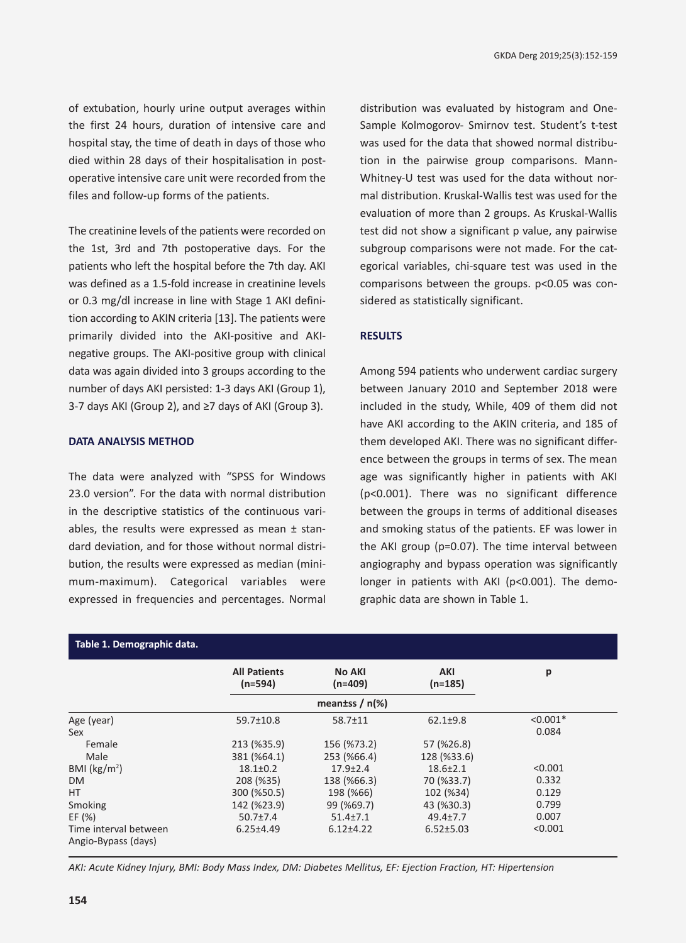of extubation, hourly urine output averages within the first 24 hours, duration of intensive care and hospital stay, the time of death in days of those who died within 28 days of their hospitalisation in postoperative intensive care unit were recorded from the files and follow-up forms of the patients.

The creatinine levels of the patients were recorded on the 1st, 3rd and 7th postoperative days. For the patients who left the hospital before the 7th day. AKI was defined as a 1.5-fold increase in creatinine levels or 0.3 mg/dl increase in line with Stage 1 AKI definition according to AKIN criteria [13]. The patients were primarily divided into the AKI-positive and AKInegative groups. The AKI-positive group with clinical data was again divided into 3 groups according to the number of days AKI persisted: 1-3 days AKI (Group 1), 3-7 days AKI (Group 2), and ≥7 days of AKI (Group 3).

## **DATA ANALYSIS METHOD**

The data were analyzed with "SPSS for Windows 23.0 version". For the data with normal distribution in the descriptive statistics of the continuous variables, the results were expressed as mean  $\pm$  standard deviation, and for those without normal distribution, the results were expressed as median (minimum-maximum). Categorical variables were expressed in frequencies and percentages. Normal distribution was evaluated by histogram and One-Sample Kolmogorov- Smirnov test. Student's t-test was used for the data that showed normal distribution in the pairwise group comparisons. Mann-Whitney-U test was used for the data without normal distribution. Kruskal-Wallis test was used for the evaluation of more than 2 groups. As Kruskal-Wallis test did not show a significant p value, any pairwise subgroup comparisons were not made. For the categorical variables, chi-square test was used in the comparisons between the groups. p<0.05 was considered as statistically significant.

#### **RESULTS**

Among 594 patients who underwent cardiac surgery between January 2010 and September 2018 were included in the study, While, 409 of them did not have AKI according to the AKIN criteria, and 185 of them developed AKI. There was no significant difference between the groups in terms of sex. The mean age was significantly higher in patients with AKI (p<0.001). There was no significant difference between the groups in terms of additional diseases and smoking status of the patients. EF was lower in the AKI group (p=0.07). The time interval between angiography and bypass operation was significantly longer in patients with AKI (p<0.001). The demographic data are shown in Table 1.

| Table 1. Demographic data.                   |                                  |                     |                  |            |  |
|----------------------------------------------|----------------------------------|---------------------|------------------|------------|--|
|                                              | <b>All Patients</b><br>$(n=594)$ | No AKI<br>$(n=409)$ | AKI<br>$(n=185)$ | p          |  |
|                                              |                                  | meantss $/$ n(%)    |                  |            |  |
| Age (year)                                   | $59.7 \pm 10.8$                  | $58.7 \pm 11$       | $62.1 \pm 9.8$   | $< 0.001*$ |  |
| Sex                                          |                                  |                     |                  | 0.084      |  |
| Female                                       | 213 (%35.9)                      | 156 (%73.2)         | 57 (%26.8)       |            |  |
| Male                                         | 381 (%64.1)                      | 253 (%66.4)         | 128 (%33.6)      |            |  |
| BMI ( $\text{kg/m}^2$ )                      | $18.1 \pm 0.2$                   | $17.9 + 2.4$        | $18.6 \pm 2.1$   | < 0.001    |  |
| <b>DM</b>                                    | 208 (%35)                        | 138 (%66.3)         | 70 (%33.7)       | 0.332      |  |
| HT.                                          | 300 (%50.5)                      | 198 (%66)           | 102 (%34)        | 0.129      |  |
| Smoking                                      | 142 (%23.9)                      | 99 (%69.7)          | 43 (%30.3)       | 0.799      |  |
| EF $(% )$                                    | $50.7{\pm}7.4$                   | $51.4 \pm 7.1$      | $49.4{\pm}7.7$   | 0.007      |  |
| Time interval between<br>Angio-Bypass (days) | $6.25 \pm 4.49$                  | $6.12{\pm}4.22$     | $6.52 \pm 5.03$  | < 0.001    |  |

*AKI: Acute Kidney Injury, BMI: Body Mass Index, DM: Diabetes Mellitus, EF: Ejection Fraction, HT: Hipertension*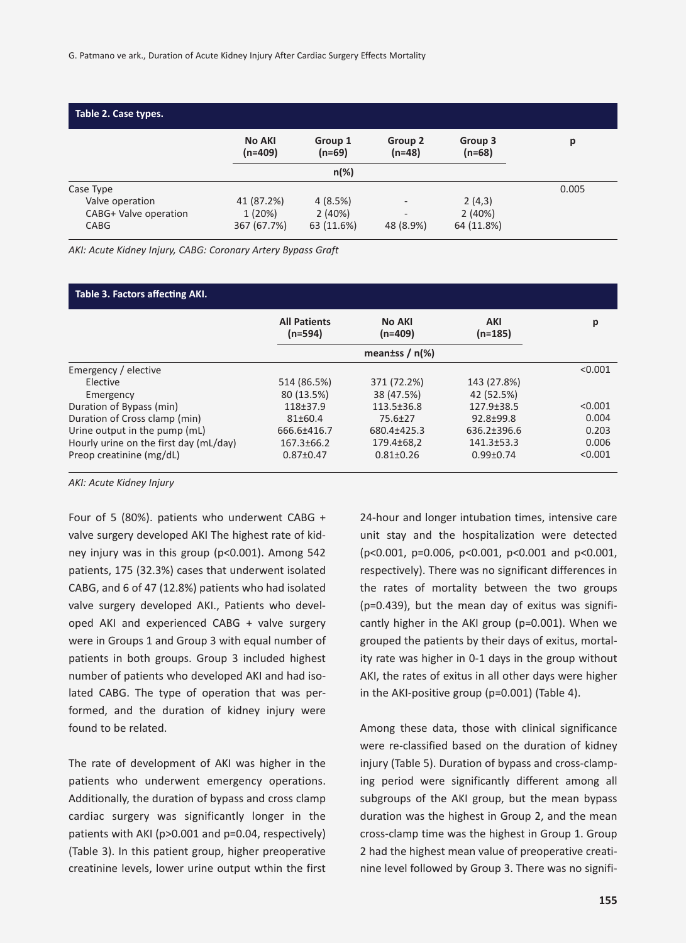| Table 2. Case types.                                                 |                                     |                                 |                                                                   |                                |       |
|----------------------------------------------------------------------|-------------------------------------|---------------------------------|-------------------------------------------------------------------|--------------------------------|-------|
|                                                                      | <b>No AKI</b><br>$(n=409)$          | Group 1<br>$(n=69)$             | Group 2<br>$(n=48)$                                               | Group 3<br>$(n=68)$            | р     |
|                                                                      |                                     | $n(\%)$                         |                                                                   |                                |       |
| Case Type<br>Valve operation<br>CABG+ Valve operation<br><b>CABG</b> | 41 (87.2%)<br>1(20%)<br>367 (67.7%) | 4(8.5%)<br>2(40%)<br>63 (11.6%) | $\overline{\phantom{a}}$<br>$\overline{\phantom{a}}$<br>48 (8.9%) | 2(4,3)<br>2(40%)<br>64 (11.8%) | 0.005 |

*AKI: Acute Kidney Injury, CABG: Coronary Artery Bypass Graft*

| Table 3. Factors affecting AKI.        |                                                       |                  |                  |         |  |  |  |
|----------------------------------------|-------------------------------------------------------|------------------|------------------|---------|--|--|--|
|                                        | <b>All Patients</b><br>No AKI<br>$(n=594)$<br>(n=409) |                  | AKI<br>$(n=185)$ | р       |  |  |  |
|                                        |                                                       |                  |                  |         |  |  |  |
| Emergency / elective                   |                                                       |                  |                  | < 0.001 |  |  |  |
| Elective                               | 514 (86.5%)                                           | 371 (72.2%)      | 143 (27.8%)      |         |  |  |  |
| Emergency                              | 80 (13.5%)                                            | 38 (47.5%)       | 42 (52.5%)       |         |  |  |  |
| Duration of Bypass (min)               | 118+37.9                                              | $113.5 \pm 36.8$ | $127.9 \pm 38.5$ | < 0.001 |  |  |  |
| Duration of Cross clamp (min)          | $81 \pm 60.4$                                         | $75.6 \pm 27$    | $92.8 + 99.8$    | 0.004   |  |  |  |
| Urine output in the pump (mL)          | 666.6±416.7                                           | 680.4±425.3      | $636.2 + 396.6$  | 0.203   |  |  |  |
| Hourly urine on the first day (mL/day) | $167.3 \pm 66.2$                                      | 179.4±68,2       | $141.3 \pm 53.3$ | 0.006   |  |  |  |
| Preop creatinine (mg/dL)               | $0.87 \pm 0.47$                                       | $0.81 + 0.26$    | $0.99 + 0.74$    | < 0.001 |  |  |  |

*AKI: Acute Kidney Injury*

Four of 5 (80%). patients who underwent CABG + valve surgery developed AKI The highest rate of kidney injury was in this group (p<0.001). Among 542 patients, 175 (32.3%) cases that underwent isolated CABG, and 6 of 47 (12.8%) patients who had isolated valve surgery developed AKI., Patients who developed AKI and experienced CABG + valve surgery were in Groups 1 and Group 3 with equal number of patients in both groups. Group 3 included highest number of patients who developed AKI and had isolated CABG. The type of operation that was performed, and the duration of kidney injury were found to be related.

The rate of development of AKI was higher in the patients who underwent emergency operations. Additionally, the duration of bypass and cross clamp cardiac surgery was significantly longer in the patients with AKI (p>0.001 and p=0.04, respectively) (Table 3). In this patient group, higher preoperative creatinine levels, lower urine output wthin the first

24-hour and longer intubation times, intensive care unit stay and the hospitalization were detected (p<0.001, p=0.006, p<0.001, p<0.001 and p<0.001, respectively). There was no significant differences in the rates of mortality between the two groups (p=0.439), but the mean day of exitus was significantly higher in the AKI group (p=0.001). When we grouped the patients by their days of exitus, mortality rate was higher in 0-1 days in the group without AKI, the rates of exitus in all other days were higher in the AKI-positive group (p=0.001) (Table 4).

Among these data, those with clinical significance were re-classified based on the duration of kidney injury (Table 5). Duration of bypass and cross-clamping period were significantly different among all subgroups of the AKI group, but the mean bypass duration was the highest in Group 2, and the mean cross-clamp time was the highest in Group 1. Group 2 had the highest mean value of preoperative creatinine level followed by Group 3. There was no signifi-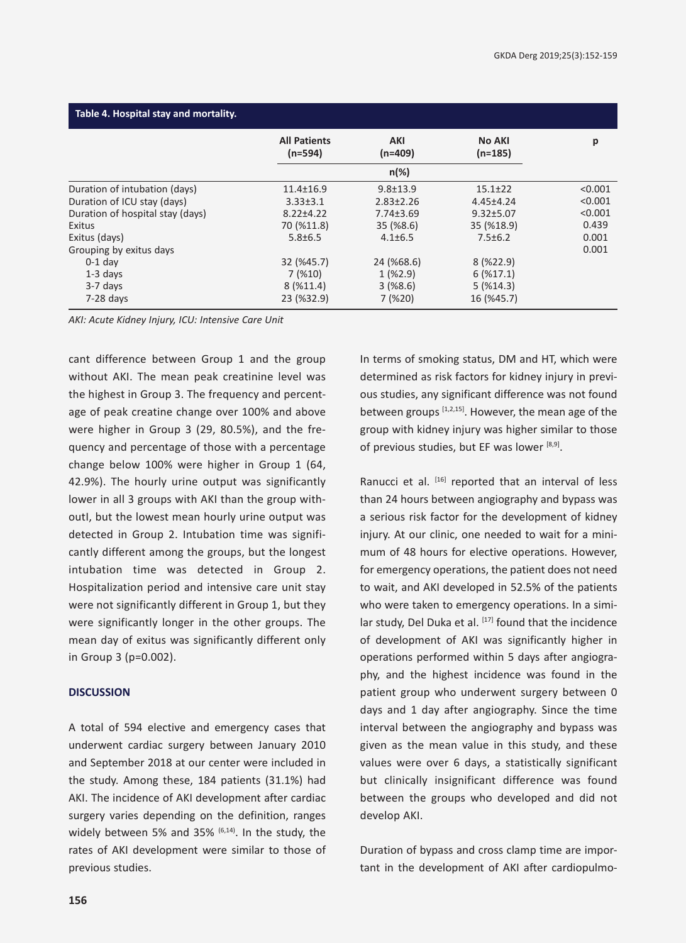| Table 4. Hospital stay and mortality. |                                  |                 |                     |         |  |  |  |
|---------------------------------------|----------------------------------|-----------------|---------------------|---------|--|--|--|
|                                       | <b>All Patients</b><br>$(n=594)$ | AKI<br>(n=409)  | No AKI<br>$(n=185)$ | р       |  |  |  |
|                                       |                                  | $n(\%)$         |                     |         |  |  |  |
| Duration of intubation (days)         | 11.4±16.9                        | $9.8 + 13.9$    | $15.1 \pm 22$       | < 0.001 |  |  |  |
| Duration of ICU stay (days)           | $3.33 \pm 3.1$                   | $2.83 \pm 2.26$ | $4.45 \pm 4.24$     | < 0.001 |  |  |  |
| Duration of hospital stay (days)      | $8.22 \pm 4.22$                  | $7.74 \pm 3.69$ | $9.32 \pm 5.07$     | < 0.001 |  |  |  |
| Exitus                                | 70 (%11.8)                       | $35($ %8.6)     | 35 (%18.9)          | 0.439   |  |  |  |
| Exitus (days)                         | $5.8 \pm 6.5$                    | $4.1 \pm 6.5$   | $7.5 \pm 6.2$       | 0.001   |  |  |  |
| Grouping by exitus days               |                                  |                 |                     | 0.001   |  |  |  |
| $0-1$ day                             | 32 (%45.7)                       | 24 (%68.6)      | 8(%22.9)            |         |  |  |  |
| $1-3$ days                            | $7($ %10)                        | $1($ %2.9)      | 6(%17.1)            |         |  |  |  |
| $3-7$ days                            | 8(%11.4)                         | $3($ %8.6)      | $5($ %14.3)         |         |  |  |  |
| $7-28$ days                           | 23 (%32.9)                       | 7(%20)          | 16 (%45.7)          |         |  |  |  |

*AKI: Acute Kidney Injury, ICU: Intensive Care Unit*

cant difference between Group 1 and the group without AKI. The mean peak creatinine level was the highest in Group 3. The frequency and percentage of peak creatine change over 100% and above were higher in Group 3 (29, 80.5%), and the frequency and percentage of those with a percentage change below 100% were higher in Group 1 (64, 42.9%). The hourly urine output was significantly lower in all 3 groups with AKI than the group withoutI, but the lowest mean hourly urine output was detected in Group 2. Intubation time was significantly different among the groups, but the longest intubation time was detected in Group 2. Hospitalization period and intensive care unit stay were not significantly different in Group 1, but they were significantly longer in the other groups. The mean day of exitus was significantly different only in Group 3 (p=0.002).

#### **DISCUSSION**

A total of 594 elective and emergency cases that underwent cardiac surgery between January 2010 and September 2018 at our center were included in the study. Among these, 184 patients (31.1%) had AKI. The incidence of AKI development after cardiac surgery varies depending on the definition, ranges widely between 5% and 35% <sup>(6,14)</sup>. In the study, the rates of AKI development were similar to those of previous studies.

In terms of smoking status, DM and HT, which were determined as risk factors for kidney injury in previous studies, any significant difference was not found between groups  $[1,2,15]$ . However, the mean age of the group with kidney injury was higher similar to those of previous studies, but EF was lower  $[8,9]$ .

Ranucci et al. [16] reported that an interval of less than 24 hours between angiography and bypass was a serious risk factor for the development of kidney injury. At our clinic, one needed to wait for a minimum of 48 hours for elective operations. However, for emergency operations, the patient does not need to wait, and AKI developed in 52.5% of the patients who were taken to emergency operations. In a similar study, Del Duka et al. [17] found that the incidence of development of AKI was significantly higher in operations performed within 5 days after angiography, and the highest incidence was found in the patient group who underwent surgery between 0 days and 1 day after angiography. Since the time interval between the angiography and bypass was given as the mean value in this study, and these values were over 6 days, a statistically significant but clinically insignificant difference was found between the groups who developed and did not develop AKI.

Duration of bypass and cross clamp time are important in the development of AKI after cardiopulmo-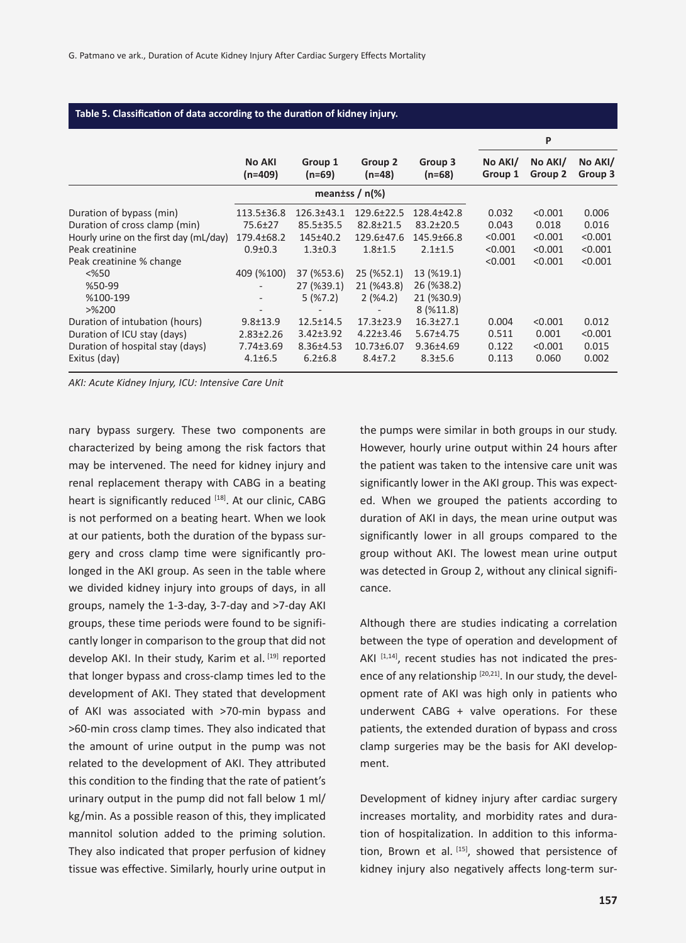| Table 5. Classification of data according to the duration of kidney injury.                                                                                                                       |                                                                    |                                                                                                   |                                                                                                     |                                                                                                        |                                                 |                                                   |                                                 |
|---------------------------------------------------------------------------------------------------------------------------------------------------------------------------------------------------|--------------------------------------------------------------------|---------------------------------------------------------------------------------------------------|-----------------------------------------------------------------------------------------------------|--------------------------------------------------------------------------------------------------------|-------------------------------------------------|---------------------------------------------------|-------------------------------------------------|
|                                                                                                                                                                                                   |                                                                    |                                                                                                   |                                                                                                     |                                                                                                        |                                                 | P                                                 |                                                 |
|                                                                                                                                                                                                   | <b>No AKI</b><br>(n=409)                                           | Group 1<br>$(n=69)$                                                                               | Group 2<br>(n=48)                                                                                   | Group 3<br>$(n=68)$                                                                                    | No AKI/<br>Group 1                              | No AKI/<br>Group 2                                | No AKI/<br>Group 3                              |
|                                                                                                                                                                                                   |                                                                    |                                                                                                   | mean tss $/$ n(%)                                                                                   |                                                                                                        |                                                 |                                                   |                                                 |
| Duration of bypass (min)<br>Duration of cross clamp (min)<br>Hourly urine on the first day (mL/day)<br>Peak creatinine<br>Peak creatinine % change<br>$<\!\%50$<br>%50-99<br>%100-199<br>$>$ %200 | 113.5±36.8<br>75.6±27<br>179.4±68.2<br>$0.9 \pm 0.3$<br>409 (%100) | $126.3 \pm 43.1$<br>85.5±35.5<br>145±40.2<br>$1.3 \pm 0.3$<br>37 (%53.6)<br>27 (%39.1)<br>5(%7.2) | 129.6±22.5<br>$82.8 \pm 21.5$<br>129.6±47.6<br>$1.8 + 1.5$<br>$25($ %52.1)<br>21 (%43.8)<br>2(%4.2) | 128.4±42.8<br>$83.2 \pm 20.5$<br>145.9±66.8<br>$2.1 \pm 1.5$<br>13 (%19.1)<br>26 (%38.2)<br>21 (%30.9) | 0.032<br>0.043<br>< 0.001<br>< 0.001<br>< 0.001 | < 0.001<br>0.018<br>< 0.001<br>< 0.001<br>< 0.001 | 0.006<br>0.016<br>< 0.001<br>< 0.001<br>< 0.001 |
| Duration of intubation (hours)<br>Duration of ICU stay (days)<br>Duration of hospital stay (days)<br>Exitus (day)                                                                                 | $9.8 \pm 13.9$<br>$2.83 \pm 2.26$<br>7.74±3.69<br>$4.1 \pm 6.5$    | $12.5 \pm 14.5$<br>$3.42 \pm 3.92$<br>$8.36{\pm}4.53$<br>$6.2 \pm 6.8$                            | $17.3 \pm 23.9$<br>$4.22 \pm 3.46$<br>10.73±6.07<br>$8.4 \pm 7.2$                                   | 8(%11.8)<br>$16.3 \pm 27.1$<br>$5.67 \pm 4.75$<br>$9.36{\pm}4.69$<br>$8.3 \pm 5.6$                     | 0.004<br>0.511<br>0.122<br>0.113                | < 0.001<br>0.001<br>< 0.001<br>0.060              | 0.012<br>< 0.001<br>0.015<br>0.002              |

*AKI: Acute Kidney Injury, ICU: Intensive Care Unit*

nary bypass surgery. These two components are characterized by being among the risk factors that may be intervened. The need for kidney injury and renal replacement therapy with CABG in a beating heart is significantly reduced [18]. At our clinic, CABG is not performed on a beating heart. When we look at our patients, both the duration of the bypass surgery and cross clamp time were significantly prolonged in the AKI group. As seen in the table where we divided kidney injury into groups of days, in all groups, namely the 1-3-day, 3-7-day and >7-day AKI groups, these time periods were found to be significantly longer in comparison to the group that did not develop AKI. In their study, Karim et al. [19] reported that longer bypass and cross-clamp times led to the development of AKI. They stated that development of AKI was associated with >70-min bypass and >60-min cross clamp times. They also indicated that the amount of urine output in the pump was not related to the development of AKI. They attributed this condition to the finding that the rate of patient's urinary output in the pump did not fall below 1 ml/ kg/min. As a possible reason of this, they implicated mannitol solution added to the priming solution. They also indicated that proper perfusion of kidney tissue was effective. Similarly, hourly urine output in the pumps were similar in both groups in our study. However, hourly urine output within 24 hours after the patient was taken to the intensive care unit was significantly lower in the AKI group. This was expected. When we grouped the patients according to duration of AKI in days, the mean urine output was significantly lower in all groups compared to the group without AKI. The lowest mean urine output was detected in Group 2, without any clinical significance.

Although there are studies indicating a correlation between the type of operation and development of AKI  $[1,14]$ , recent studies has not indicated the presence of any relationship  $[20,21]$ . In our study, the development rate of AKI was high only in patients who underwent CABG + valve operations. For these patients, the extended duration of bypass and cross clamp surgeries may be the basis for AKI development.

Development of kidney injury after cardiac surgery increases mortality, and morbidity rates and duration of hospitalization. In addition to this information, Brown et al.  $[15]$ , showed that persistence of kidney injury also negatively affects long-term sur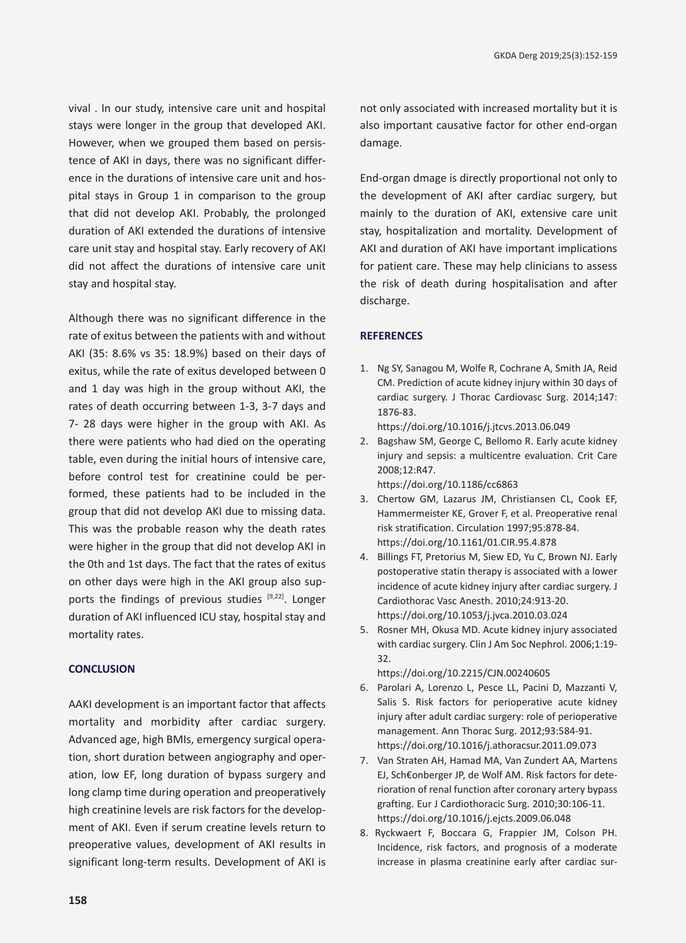vival . In our study, intensive care unit and hospital stays were longer in the group that developed AKI. However, when we grouped them based on persistence of AKI in days, there was no significant difference in the durations of intensive care unit and hospital stays in Group 1 in comparison to the group that did not develop AKI. Probably, the prolonged duration of AKI extended the durations of intensive care unit stay and hospital stay. Early recovery of AKI did not affect the durations of intensive care unit stay and hospital stay.

Although there was no significant difference in the rate of exitus between the patients with and without AKI (35: 8.6% vs 35: 18.9%) based on their days of exitus, while the rate of exitus developed between 0 and 1 day was high in the group without AKI, the rates of death occurring between 1-3, 3-7 days and 7- 28 days were higher in the group with AKI. As there were patients who had died on the operating table, even during the initial hours of intensive care, before control test for creatinine could be performed, these patients had to be included in the group that did not develop AKI due to missing data. This was the probable reason why the death rates were higher in the group that did not develop AKI in the 0th and 1st days. The fact that the rates of exitus on other days were high in the AKI group also supports the findings of previous studies [9,22]. Longer duration of AKI influenced ICU stay, hospital stay and mortality rates.

### **CONCLUSION**

AAKI development is an important factor that affects mortality and morbidity after cardiac surgery. Advanced age, high BMIs, emergency surgical operation, short duration between angiography and operation, low EF, long duration of bypass surgery and long clamp time during operation and preoperatively high creatinine levels are risk factors for the development of AKI. Even if serum creatine levels return to preoperative values, development of AKI results in significant long-term results. Development of AKI is not only associated with increased mortality but it is also important causative factor for other end-organ damage.

End-organ dmage is directly proportional not only to the development of AKI after cardiac surgery, but mainly to the duration of AKI, extensive care unit stay, hospitalization and mortality. Development of AKI and duration of AKI have important implications for patient care. These may help clinicians to assess the risk of death during hospitalisation and after discharge.

#### **REFERENCES**

1. Ng SY, Sanagou M, Wolfe R, Cochrane A, Smith JA, Reid CM. Prediction of acute kidney injury within 30 days of cardiac surgery. J Thorac Cardiovasc Surg. 2014;147: 1876-83.

https://doi.org/10.1016/j.jtcvs.2013.06.049

- 2. Bagshaw SM, George C, Bellomo R. Early acute kidney injury and sepsis: a multicentre evaluation. Crit Care 2008;12:R47. https://doi.org/10.1186/cc6863
- 3. Chertow GM, Lazarus JM, Christiansen CL, Cook EF, Hammermeister KE, Grover F, et al. Preoperative renal risk stratification. Circulation 1997;95:878-84. https://doi.org/10.1161/01.CIR.95.4.878
- 4. Billings FT, Pretorius M, Siew ED, Yu C, Brown NJ. Early postoperative statin therapy is associated with a lower incidence of acute kidney injury after cardiac surgery. J Cardiothorac Vasc Anesth. 2010;24:913-20. https://doi.org/10.1053/j.jvca.2010.03.024
- 5. Rosner MH, Okusa MD. Acute kidney injury associated with cardiac surgery. Clin J Am Soc Nephrol. 2006;1:19- 32.

https://doi.org/10.2215/CJN.00240605

- 6. Parolari A, Lorenzo L, Pesce LL, Pacini D, Mazzanti V, Salis S. Risk factors for perioperative acute kidney injury after adult cardiac surgery: role of perioperative management. Ann Thorac Surg. 2012;93:584-91. https://doi.org/10.1016/j.athoracsur.2011.09.073
- 7. Van Straten AH, Hamad MA, Van Zundert AA, Martens EJ, Sch€onberger JP, de Wolf AM. Risk factors for deterioration of renal function after coronary artery bypass grafting. Eur J Cardiothoracic Surg. 2010;30:106-11. https://doi.org/10.1016/j.ejcts.2009.06.048
- 8. Ryckwaert F, Boccara G, Frappier JM, Colson PH. Incidence, risk factors, and prognosis of a moderate increase in plasma creatinine early after cardiac sur-